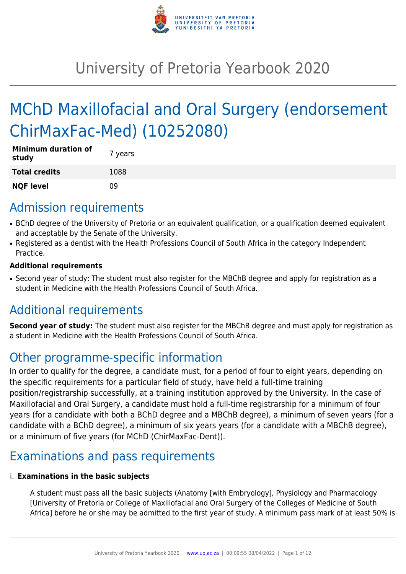

# University of Pretoria Yearbook 2020

# MChD Maxillofacial and Oral Surgery (endorsement ChirMaxFac-Med) (10252080)

| <b>Minimum duration of</b><br>study | 7 years |
|-------------------------------------|---------|
| <b>Total credits</b>                | 1088    |
| <b>NQF level</b>                    | n۹      |

### Admission requirements

- BChD degree of the University of Pretoria or an equivalent qualification, or a qualification deemed equivalent and acceptable by the Senate of the University.
- Registered as a dentist with the Health Professions Council of South Africa in the category Independent Practice.

#### **Additional requirements**

• Second year of study: The student must also register for the MBChB degree and apply for registration as a student in Medicine with the Health Professions Council of South Africa.

# Additional requirements

**Second year of study:** The student must also register for the MBChB degree and must apply for registration as a student in Medicine with the Health Professions Council of South Africa.

## Other programme-specific information

In order to qualify for the degree, a candidate must, for a period of four to eight years, depending on the specific requirements for a particular field of study, have held a full-time training position/registrarship successfully, at a training institution approved by the University. In the case of Maxillofacial and Oral Surgery, a candidate must hold a full-time registrarship for a minimum of four years (for a candidate with both a BChD degree and a MBChB degree), a minimum of seven years (for a candidate with a BChD degree), a minimum of six years years (for a candidate with a MBChB degree), or a minimum of five years (for MChD (ChirMaxFac-Dent)).

# Examinations and pass requirements

#### i. **Examinations in the basic subjects**

A student must pass all the basic subjects (Anatomy [with Embryology], Physiology and Pharmacology [University of Pretoria or College of Maxillofacial and Oral Surgery of the Colleges of Medicine of South Africa] before he or she may be admitted to the first year of study. A minimum pass mark of at least 50% is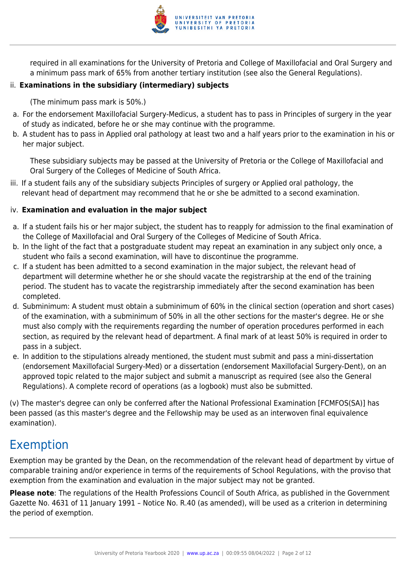

required in all examinations for the University of Pretoria and College of Maxillofacial and Oral Surgery and a minimum pass mark of 65% from another tertiary institution (see also the General Regulations).

#### ii. **Examinations in the subsidiary (intermediary) subjects**

(The minimum pass mark is 50%.)

- a. For the endorsement Maxillofacial Surgery-Medicus, a student has to pass in Principles of surgery in the year of study as indicated, before he or she may continue with the programme.
- b. A student has to pass in Applied oral pathology at least two and a half years prior to the examination in his or her major subject.

These subsidiary subjects may be passed at the University of Pretoria or the College of Maxillofacial and Oral Surgery of the Colleges of Medicine of South Africa.

iii. If a student fails any of the subsidiary subjects Principles of surgery or Applied oral pathology, the relevant head of department may recommend that he or she be admitted to a second examination.

#### iv. **Examination and evaluation in the major subject**

- a. If a student fails his or her major subject, the student has to reapply for admission to the final examination of the College of Maxillofacial and Oral Surgery of the Colleges of Medicine of South Africa.
- b. In the light of the fact that a postgraduate student may repeat an examination in any subject only once, a student who fails a second examination, will have to discontinue the programme.
- c. If a student has been admitted to a second examination in the major subject, the relevant head of department will determine whether he or she should vacate the registrarship at the end of the training period. The student has to vacate the registrarship immediately after the second examination has been completed.
- d. Subminimum: A student must obtain a subminimum of 60% in the clinical section (operation and short cases) of the examination, with a subminimum of 50% in all the other sections for the master's degree. He or she must also comply with the requirements regarding the number of operation procedures performed in each section, as required by the relevant head of department. A final mark of at least 50% is required in order to pass in a subject.
- e. In addition to the stipulations already mentioned, the student must submit and pass a mini-dissertation (endorsement Maxillofacial Surgery-Med) or a dissertation (endorsement Maxillofacial Surgery-Dent), on an approved topic related to the major subject and submit a manuscript as required (see also the General Regulations). A complete record of operations (as a logbook) must also be submitted.

(v) The master's degree can only be conferred after the National Professional Examination [FCMFOS(SA)] has been passed (as this master's degree and the Fellowship may be used as an interwoven final equivalence examination).

# Exemption

Exemption may be granted by the Dean, on the recommendation of the relevant head of department by virtue of comparable training and/or experience in terms of the requirements of School Regulations, with the proviso that exemption from the examination and evaluation in the major subject may not be granted.

**Please note**: The regulations of the Health Professions Council of South Africa, as published in the Government Gazette No. 4631 of 11 January 1991 – Notice No. R.40 (as amended), will be used as a criterion in determining the period of exemption.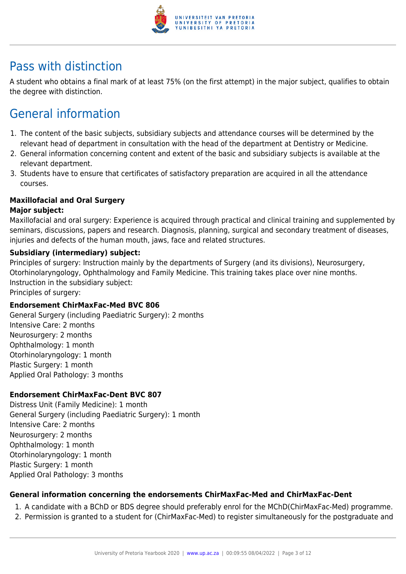

## Pass with distinction

A student who obtains a final mark of at least 75% (on the first attempt) in the major subject, qualifies to obtain the degree with distinction.

# General information

- 1. The content of the basic subjects, subsidiary subjects and attendance courses will be determined by the relevant head of department in consultation with the head of the department at Dentistry or Medicine.
- 2. General information concerning content and extent of the basic and subsidiary subjects is available at the relevant department.
- 3. Students have to ensure that certificates of satisfactory preparation are acquired in all the attendance courses.

#### **Maxillofacial and Oral Surgery**

#### **Major subject:**

Maxillofacial and oral surgery: Experience is acquired through practical and clinical training and supplemented by seminars, discussions, papers and research. Diagnosis, planning, surgical and secondary treatment of diseases, injuries and defects of the human mouth, jaws, face and related structures.

#### **Subsidiary (intermediary) subject:**

Principles of surgery: Instruction mainly by the departments of Surgery (and its divisions), Neurosurgery, Otorhinolaryngology, Ophthalmology and Family Medicine. This training takes place over nine months. Instruction in the subsidiary subject:

Principles of surgery:

#### **Endorsement ChirMaxFac-Med BVC 806**

General Surgery (including Paediatric Surgery): 2 months Intensive Care: 2 months Neurosurgery: 2 months Ophthalmology: 1 month Otorhinolaryngology: 1 month Plastic Surgery: 1 month Applied Oral Pathology: 3 months

#### **Endorsement ChirMaxFac-Dent BVC 807**

Distress Unit (Family Medicine): 1 month General Surgery (including Paediatric Surgery): 1 month Intensive Care: 2 months Neurosurgery: 2 months Ophthalmology: 1 month Otorhinolaryngology: 1 month Plastic Surgery: 1 month Applied Oral Pathology: 3 months

#### **General information concerning the endorsements ChirMaxFac-Med and ChirMaxFac-Dent**

- 1. A candidate with a BChD or BDS degree should preferably enrol for the MChD(ChirMaxFac-Med) programme.
- 2. Permission is granted to a student for (ChirMaxFac-Med) to register simultaneously for the postgraduate and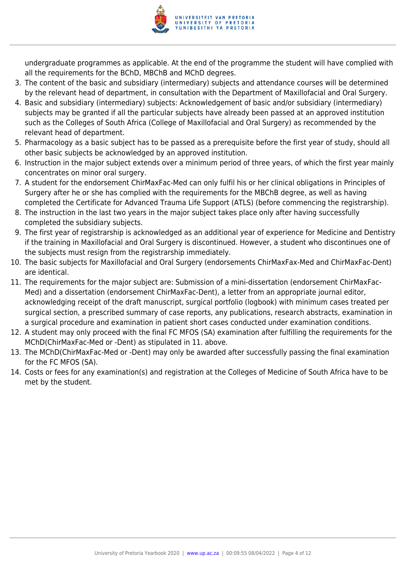

undergraduate programmes as applicable. At the end of the programme the student will have complied with all the requirements for the BChD, MBChB and MChD degrees.

- 3. The content of the basic and subsidiary (intermediary) subjects and attendance courses will be determined by the relevant head of department, in consultation with the Department of Maxillofacial and Oral Surgery.
- 4. Basic and subsidiary (intermediary) subjects: Acknowledgement of basic and/or subsidiary (intermediary) subjects may be granted if all the particular subjects have already been passed at an approved institution such as the Colleges of South Africa (College of Maxillofacial and Oral Surgery) as recommended by the relevant head of department.
- 5. Pharmacology as a basic subject has to be passed as a prerequisite before the first year of study, should all other basic subjects be acknowledged by an approved institution.
- 6. Instruction in the major subject extends over a minimum period of three years, of which the first year mainly concentrates on minor oral surgery.
- 7. A student for the endorsement ChirMaxFac-Med can only fulfil his or her clinical obligations in Principles of Surgery after he or she has complied with the requirements for the MBChB degree, as well as having completed the Certificate for Advanced Trauma Life Support (ATLS) (before commencing the registrarship).
- 8. The instruction in the last two years in the major subject takes place only after having successfully completed the subsidiary subjects.
- 9. The first year of registrarship is acknowledged as an additional year of experience for Medicine and Dentistry if the training in Maxillofacial and Oral Surgery is discontinued. However, a student who discontinues one of the subjects must resign from the registrarship immediately.
- 10. The basic subjects for Maxillofacial and Oral Surgery (endorsements ChirMaxFax-Med and ChirMaxFac-Dent) are identical.
- 11. The requirements for the major subject are: Submission of a mini-dissertation (endorsement ChirMaxFac-Med) and a dissertation (endorsement ChirMaxFac-Dent), a letter from an appropriate journal editor, acknowledging receipt of the draft manuscript, surgical portfolio (logbook) with minimum cases treated per surgical section, a prescribed summary of case reports, any publications, research abstracts, examination in a surgical procedure and examination in patient short cases conducted under examination conditions.
- 12. A student may only proceed with the final FC MFOS (SA) examination after fulfilling the requirements for the MChD(ChirMaxFac-Med or -Dent) as stipulated in 11. above.
- 13. The MChD(ChirMaxFac-Med or -Dent) may only be awarded after successfully passing the final examination for the FC MFOS (SA).
- 14. Costs or fees for any examination(s) and registration at the Colleges of Medicine of South Africa have to be met by the student.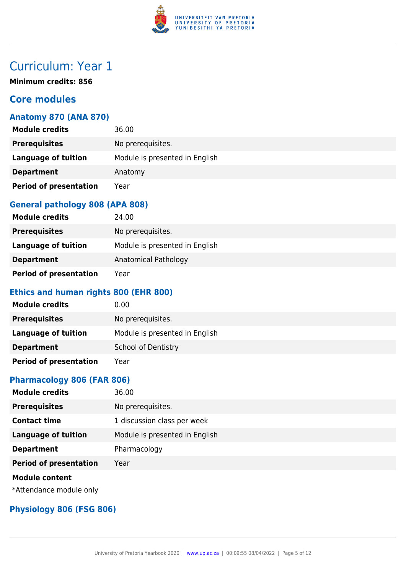

**Minimum credits: 856**

### **Core modules**

#### **Anatomy 870 (ANA 870)**

| <b>Module credits</b>         | 36.00                          |
|-------------------------------|--------------------------------|
| <b>Prerequisites</b>          | No prerequisites.              |
| <b>Language of tuition</b>    | Module is presented in English |
| <b>Department</b>             | Anatomy                        |
| <b>Period of presentation</b> | Year                           |

### **General pathology 808 (APA 808)**

| <b>Module credits</b>         | 24.00                          |
|-------------------------------|--------------------------------|
| <b>Prerequisites</b>          | No prerequisites.              |
| Language of tuition           | Module is presented in English |
| <b>Department</b>             | Anatomical Pathology           |
| <b>Period of presentation</b> | Year                           |

### **Ethics and human rights 800 (EHR 800)**

| <b>Module credits</b>         | 0.00                           |
|-------------------------------|--------------------------------|
| <b>Prerequisites</b>          | No prerequisites.              |
| Language of tuition           | Module is presented in English |
| <b>Department</b>             | <b>School of Dentistry</b>     |
| <b>Period of presentation</b> | Year                           |

### **Pharmacology 806 (FAR 806)**

| <b>Module credits</b>         | 36.00                          |
|-------------------------------|--------------------------------|
| <b>Prerequisites</b>          | No prerequisites.              |
| <b>Contact time</b>           | 1 discussion class per week    |
| <b>Language of tuition</b>    | Module is presented in English |
| <b>Department</b>             | Pharmacology                   |
| <b>Period of presentation</b> | Year                           |
| <b>Module content</b>         |                                |

\*Attendance module only

#### **Physiology 806 (FSG 806)**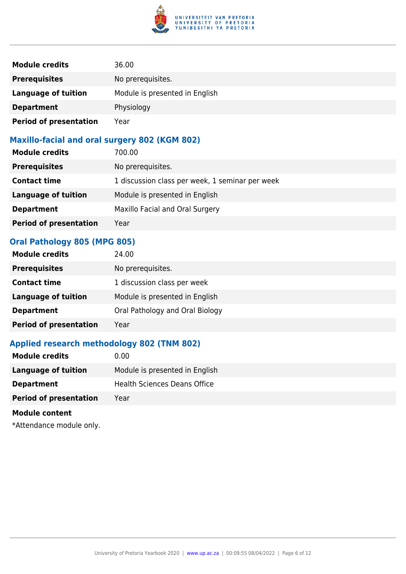

| <b>Module credits</b>         | 36.00                          |
|-------------------------------|--------------------------------|
| <b>Prerequisites</b>          | No prerequisites.              |
| Language of tuition           | Module is presented in English |
| <b>Department</b>             | Physiology                     |
| <b>Period of presentation</b> | Year                           |

#### **Maxillo-facial and oral surgery 802 (KGM 802)**

| <b>Module credits</b>         | 700.00                                          |
|-------------------------------|-------------------------------------------------|
| <b>Prerequisites</b>          | No prerequisites.                               |
| <b>Contact time</b>           | 1 discussion class per week, 1 seminar per week |
| <b>Language of tuition</b>    | Module is presented in English                  |
| <b>Department</b>             | Maxillo Facial and Oral Surgery                 |
| <b>Period of presentation</b> | Year                                            |

#### **Oral Pathology 805 (MPG 805)**

| <b>Module credits</b>         | 24.00                           |
|-------------------------------|---------------------------------|
| <b>Prerequisites</b>          | No prerequisites.               |
| <b>Contact time</b>           | 1 discussion class per week     |
| <b>Language of tuition</b>    | Module is presented in English  |
| <b>Department</b>             | Oral Pathology and Oral Biology |
| <b>Period of presentation</b> | Year                            |

### **Applied research methodology 802 (TNM 802)**

| <b>Module credits</b><br>0.00         |                                |
|---------------------------------------|--------------------------------|
| Language of tuition                   | Module is presented in English |
| <b>Department</b>                     | Health Sciences Deans Office   |
| <b>Period of presentation</b><br>Year |                                |

#### **Module content**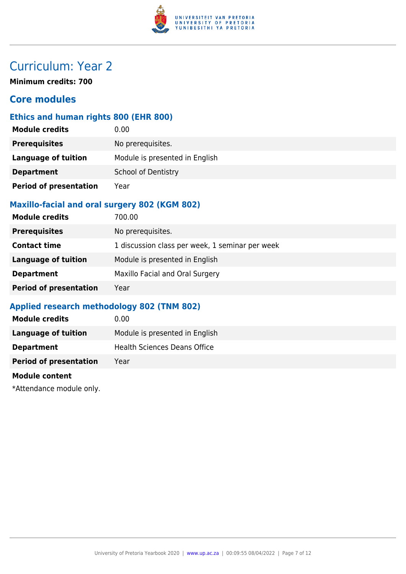

**Minimum credits: 700**

### **Core modules**

#### **Ethics and human rights 800 (EHR 800)**

| <b>Module credits</b>         | 0.00                           |
|-------------------------------|--------------------------------|
| <b>Prerequisites</b>          | No prerequisites.              |
| <b>Language of tuition</b>    | Module is presented in English |
| <b>Department</b>             | <b>School of Dentistry</b>     |
| <b>Period of presentation</b> | Year                           |

#### **Maxillo-facial and oral surgery 802 (KGM 802)**

| <b>Module credits</b>         | 700.00                                          |
|-------------------------------|-------------------------------------------------|
| <b>Prerequisites</b>          | No prerequisites.                               |
| <b>Contact time</b>           | 1 discussion class per week, 1 seminar per week |
| <b>Language of tuition</b>    | Module is presented in English                  |
| <b>Department</b>             | Maxillo Facial and Oral Surgery                 |
| <b>Period of presentation</b> | Year                                            |

#### **Applied research methodology 802 (TNM 802)**

| <b>Module credits</b>         | 0.00                           |
|-------------------------------|--------------------------------|
| Language of tuition           | Module is presented in English |
| <b>Department</b>             | Health Sciences Deans Office   |
| <b>Period of presentation</b> | Year                           |
|                               |                                |

#### **Module content**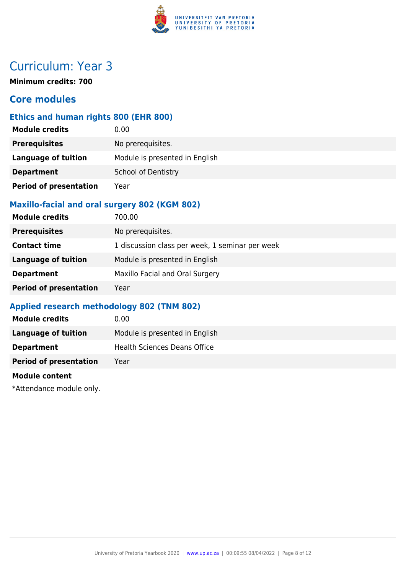

**Minimum credits: 700**

### **Core modules**

#### **Ethics and human rights 800 (EHR 800)**

| <b>Module credits</b>         | 0.00                           |
|-------------------------------|--------------------------------|
| <b>Prerequisites</b>          | No prerequisites.              |
| <b>Language of tuition</b>    | Module is presented in English |
| <b>Department</b>             | <b>School of Dentistry</b>     |
| <b>Period of presentation</b> | Year                           |

#### **Maxillo-facial and oral surgery 802 (KGM 802)**

| <b>Module credits</b>         | 700.00                                          |
|-------------------------------|-------------------------------------------------|
| <b>Prerequisites</b>          | No prerequisites.                               |
| <b>Contact time</b>           | 1 discussion class per week, 1 seminar per week |
| <b>Language of tuition</b>    | Module is presented in English                  |
| <b>Department</b>             | Maxillo Facial and Oral Surgery                 |
| <b>Period of presentation</b> | Year                                            |

#### **Applied research methodology 802 (TNM 802)**

| <b>Module credits</b>         | 0.00                           |
|-------------------------------|--------------------------------|
| Language of tuition           | Module is presented in English |
| <b>Department</b>             | Health Sciences Deans Office   |
| <b>Period of presentation</b> | Year                           |
|                               |                                |

#### **Module content**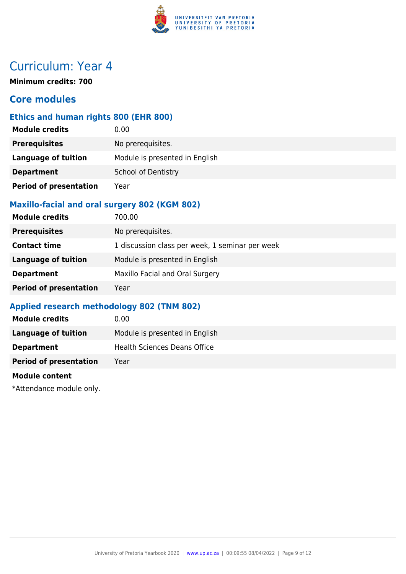

**Minimum credits: 700**

### **Core modules**

#### **Ethics and human rights 800 (EHR 800)**

| <b>Module credits</b>         | 0.00                           |
|-------------------------------|--------------------------------|
| <b>Prerequisites</b>          | No prerequisites.              |
| <b>Language of tuition</b>    | Module is presented in English |
| <b>Department</b>             | <b>School of Dentistry</b>     |
| <b>Period of presentation</b> | Year                           |

#### **Maxillo-facial and oral surgery 802 (KGM 802)**

| <b>Module credits</b>         | 700.00                                          |
|-------------------------------|-------------------------------------------------|
| <b>Prerequisites</b>          | No prerequisites.                               |
| <b>Contact time</b>           | 1 discussion class per week, 1 seminar per week |
| <b>Language of tuition</b>    | Module is presented in English                  |
| <b>Department</b>             | Maxillo Facial and Oral Surgery                 |
| <b>Period of presentation</b> | Year                                            |

#### **Applied research methodology 802 (TNM 802)**

| <b>Module credits</b>         | 0.00                           |
|-------------------------------|--------------------------------|
| Language of tuition           | Module is presented in English |
| <b>Department</b>             | Health Sciences Deans Office   |
| <b>Period of presentation</b> | Year                           |
|                               |                                |

#### **Module content**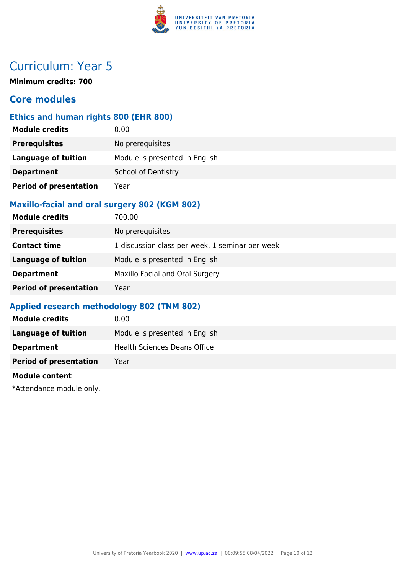

**Minimum credits: 700**

### **Core modules**

#### **Ethics and human rights 800 (EHR 800)**

| <b>Module credits</b>         | 0.00                           |
|-------------------------------|--------------------------------|
| <b>Prerequisites</b>          | No prerequisites.              |
| <b>Language of tuition</b>    | Module is presented in English |
| <b>Department</b>             | <b>School of Dentistry</b>     |
| <b>Period of presentation</b> | Year                           |

#### **Maxillo-facial and oral surgery 802 (KGM 802)**

| <b>Module credits</b>         | 700.00                                          |
|-------------------------------|-------------------------------------------------|
| <b>Prerequisites</b>          | No prerequisites.                               |
| <b>Contact time</b>           | 1 discussion class per week, 1 seminar per week |
| <b>Language of tuition</b>    | Module is presented in English                  |
| <b>Department</b>             | Maxillo Facial and Oral Surgery                 |
| <b>Period of presentation</b> | Year                                            |

#### **Applied research methodology 802 (TNM 802)**

| <b>Module credits</b>         | 0.00                           |
|-------------------------------|--------------------------------|
| Language of tuition           | Module is presented in English |
| <b>Department</b>             | Health Sciences Deans Office   |
| <b>Period of presentation</b> | Year                           |
|                               |                                |

#### **Module content**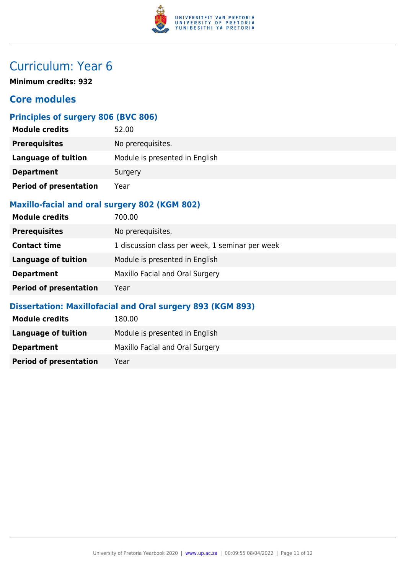

**Minimum credits: 932**

### **Core modules**

### **Principles of surgery 806 (BVC 806)**

| <b>Module credits</b>         | 52.00                          |
|-------------------------------|--------------------------------|
| <b>Prerequisites</b>          | No prerequisites.              |
| <b>Language of tuition</b>    | Module is presented in English |
| <b>Department</b>             | Surgery                        |
| <b>Period of presentation</b> | Year                           |

#### **Maxillo-facial and oral surgery 802 (KGM 802)**

| <b>Module credits</b>         | 700.00                                          |
|-------------------------------|-------------------------------------------------|
| <b>Prerequisites</b>          | No prerequisites.                               |
| <b>Contact time</b>           | 1 discussion class per week, 1 seminar per week |
| <b>Language of tuition</b>    | Module is presented in English                  |
| <b>Department</b>             | Maxillo Facial and Oral Surgery                 |
| <b>Period of presentation</b> | Year                                            |

#### **Dissertation: Maxillofacial and Oral surgery 893 (KGM 893)**

| <b>Module credits</b>         | 180.00                          |
|-------------------------------|---------------------------------|
| Language of tuition           | Module is presented in English  |
| <b>Department</b>             | Maxillo Facial and Oral Surgery |
| <b>Period of presentation</b> | Year                            |